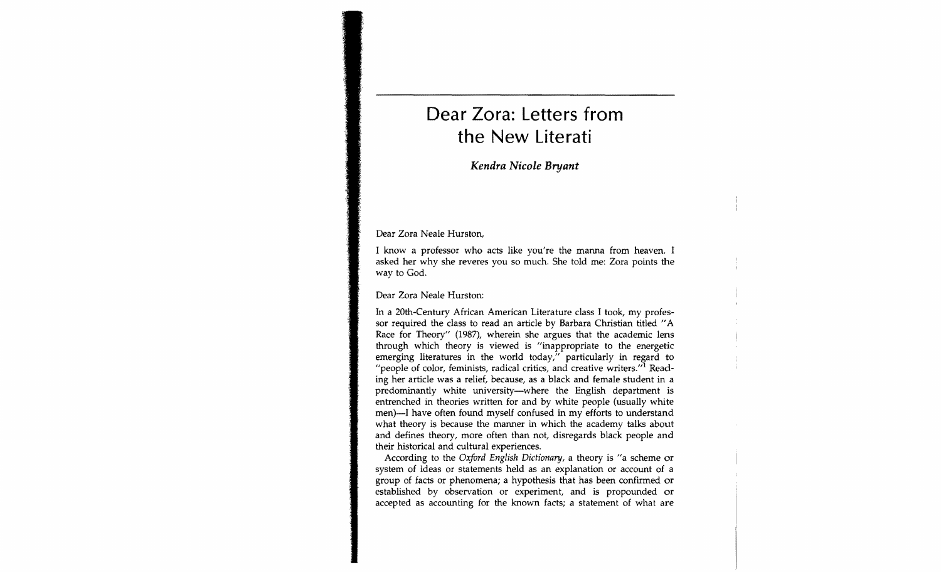# **Dear Zora: Letters from the New Literati**

*Kendra Nicole Bryant* 

Dear Zora Neale Hurston,

I know a professor who acts like you're the manna from heaven. I asked her why she reveres you so much. She told me: Zora points the way to God.

Dear Zora Neale Hurston:

In a 20th-Century African American Literature class I took, my professor required the class to read an article by Barbara Christian titled "A Race for Theory" (1987), wherein she argues that the academic lens through which theory is viewed is "inappropriate to the energetic emerging literatures in the world today," particularly in regard to "people of color, feminists, radical critics, and creative writers." $1$  Reading her article was a relief, because, as a black and female student in a predominantly white university-where the English department is entrenched in theories written for and by white people (usually white men)-I have often found myself confused in my efforts to understand what theory is because the manner in which the academy talks about and defines theory, more often than not, disregards black people and their historical and cultural experiences.

According to the *Oxford English Dictionary,* a theory is "a scheme or system of ideas or statements held as an explanation or account of a group of facts or phenomena; a hypothesis that has been confirmed or established by observation or experiment, and is propounded or accepted as accounting for the known facts; a statement of what are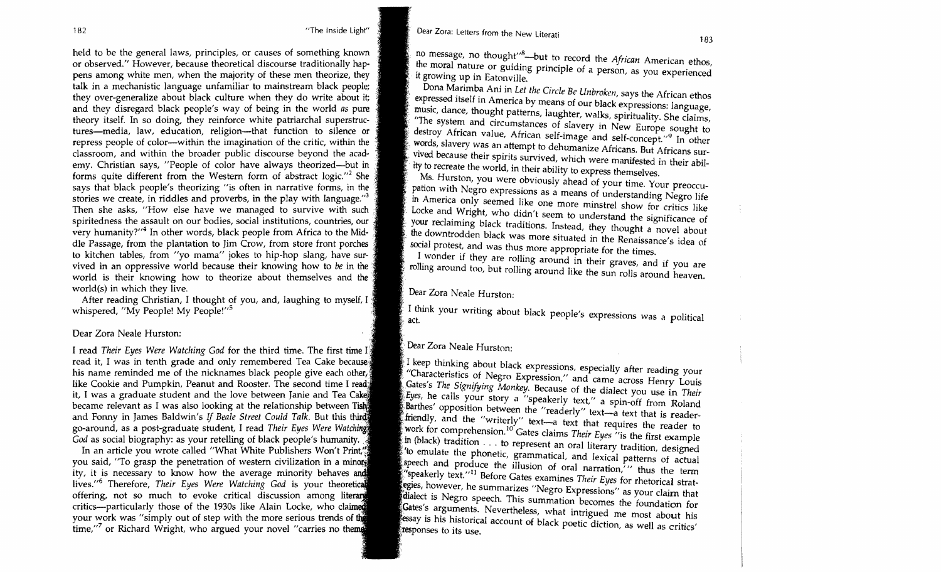#### "The Inside Light"

held to be the general laws, principles, or causes of something known or observed." However, because theoretical discourse traditionally happens among white men, when the majority of these men theorize, they talk in a mechanistic language unfamiliar to mainstream black people; they over-generalize about black culture when they do write about it; and they disregard black people's way of being in the world *as* pure theory itself. In so doing, they reinforce white patriarchal superstructures-media, law, education, religion-that function to silence or repress people of color-within the imagination of the critic, within the classroom, and within the broader public discourse beyond the academy. Christian says, "People of color have always theorized-but in forms quite different from the Western form of abstract logic."2 She says that black people's theorizing "is often in narrative forms, in the stories we create, in riddles and proverbs, in the play with language. $13$ Then she asks, "How else have we managed to survive with such spiritedness the assault on our bodies, social institutions, countries, our very humanity?" $4$  In other words, black people from Africa to the Middle Passage, from the plantation to Jim Crow, from store front porches to kitchen tables, from "yo mama" jokes to hip-hop slang, have survived in an oppressive world because their knowing how to *be* in the world is their knowing how to theorize about themselves and the world(s) in which they live.

After reading Christian, I thought of you, and, laughing to myself,  $I^{\dagger}$ whispered, "My People! My People!"<sup>5</sup>

#### Dear Zora Neale Hurston:

I read *Their Eyes Were Watching God* for the third time. The first time I read it, I was in tenth grade and only remembered Tea Cake because his name reminded me of the nicknames black people give each other, like Cookie and Pumpkin, Peanut and Rooster. The second time I read it, I was a graduate student and the love between Janie and Tea became relevant as I was also looking at the relationship between Tish and Fonny in James Baldwin's If *Beale Street Could Talk.* But this go-around, as a post-graduate student, I read *Their Eyes Were Watchind God* as social biography: as your retelling of black people's humanity.

In an article you wrote called "What White Publishers Won't you said, "To grasp the penetration of western civilization in a ity, it is necessary to know how the average minority behaves and lives."<sup>6</sup> Therefore, *Their Eyes Were Watching God* is your theoretical offering, not so much to evoke critical discussion among literary critics-particularly those of the 1930s like Alain Locke, who claimed your work was "simply out of step with the more serious trends of the time,"<sup>7</sup> or Richard Wright, who argued your novel "carries no theme"

no message, no thought"B-but to record the *African* American ethos, the moral nature or guiding principle of a person, as you experienced it growing up in Eatonville.

Dona Marimba Ani in *Let the Circle Be Unbroken,* says the African ethos expressed itself in America by means of our black expressions: language, music, dance, thought patterns, laughter, walks, spirituality. She claims, "The system and circumstances of slavery in New Europe sought to destroy African value, African self-image and self-concept."<sup>9</sup> In other words, slavery was an attempt to dehumanize Africans. But Africans survived because their spirits survived, which were manifested in their ability to recreate the world, in their ability to express themselves.

Ms. Hurston, you were obviously ahead of your time. Your preoccupation with Negro expressions as a means of understanding Negro life in America only seemed like one more minstrel show for critics like Locke and Wright, who didn't seem to understand the significance of your reclaiming black traditions. Instead, they thought a novel about the downtrodden black was more situated in the Renaissance's idea of social protest, and was thus more appropriate for the times.

I wonder if they are rolling around in their graves, and if you are rolling around too, but roIling around like the sun rolls around heaven.

Dear Zora Neale Hurston:

Dear Zora: Letters from the New Literati

I think your writing about black people's expressions was a political act.

# Dear Zora Neale Hurston:

I keep thinking about black expressions, especially after reading your "Characteristics of Negro Expression," and came across Henry Louis Gates's *The Signifying Monkey.* Because of the dialect you use in *Their Eyes,* he calls your story a "speakerly text," a spin-off from Roland Barthes' opposition between the "readerly" text-a text that is readerfriendly, and the "writerly" text-a text that requires the reader to work for comprehension.<sup>10</sup> Gates claims *Their Eyes* "is the first example in (black) tradition ... to represent an oral literary tradition, designed 'to emulate the phonetic, grammatical, and lexical patterns of actual speech and produce the illusion of oral narration,'" thus the term speakerly text."<sup>2</sup> Before Gates examines *Their Eyes* for rhetorical strathowever, he summarizes "Negro Expressions" as your claim that is Negro speech. This summation becomes the foundation for Gates's arguments. Nevertheless, what intrigued me most about his is his historical account of black poetic diction, as well as critics' 'resoonses to its use.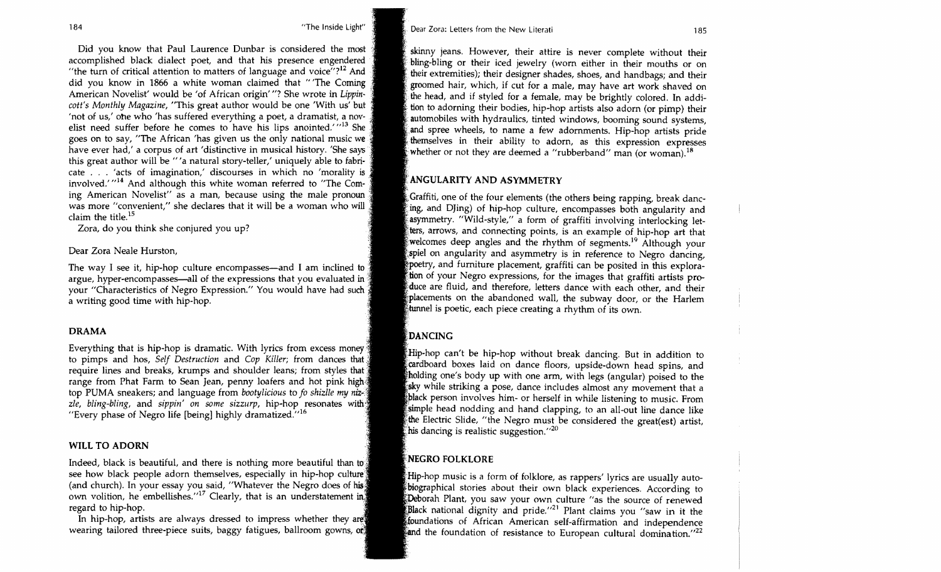Did you know that Paul Laurence Dunbar is considered the most accomplished black dialect poet, and that his presence engendered "the turn of critical attention to matters of language and voice"?<sup>12</sup> And did you know in 1866 a white woman claimed that" 'The Coming American Novelist' would be 'of African origin' "? She wrote in *Lippincott's Monthly Magazine,* "This great author would be one 'With us' but 'not of us,' ohe who 'has suffered everything a poet, a dramatist, a novelist need suffer before he comes to have his lips anointed." $13$  She goes on to say, "The African 'has given us the only national music we have ever had,' a corpus of art 'distinctive in musical history. 'She says this great author will be *"'a* natural story-teller,' uniquely able to fabricate ... 'acts of imagination,' discourses in which no 'morality is involved.'"<sup>14</sup> And although this white woman referred to "The Coming American Novelist" as a man, because using the male pronoun was more "convenient," she declares that it will be a woman who will claim the title. $^{15}$ 

Zora, do you think she conjured you up?

### Dear Zora Neale Hurston,

The way I see it, hip-hop culture encompasses—and I am inclined to argue, hyper-encompasses-all of the expressions that you evaluated in your "Characteristics of Negro Expression." You would have had such a writing good time with hip-hop.

#### DRAMA

Everything that is hip-hop is dramatic. With lyrics from excess money to pimps and hos, *Self Destruction* and *Cop Killer;* from dances that require lines and breaks, krumps and shoulder leans; from styles that range from Phat Farm to Sean Jean, penny loafers and hot pink high top PUMA sneakers; and language from *bootylicious* to *fa shizlle my zle, bling-bling,* and *sippin' on some sizzurp,* hip-hop resonates "Every phase of Negro life [being] highly dramatized."<sup>16</sup>

# WILL TO ADORN

Indeed, black is beautiful, and there is nothing more beautiful than to see how black people adorn themselves, especially in hip-hop culture (and church). In your essay you said, "Whatever the Negro does of own volition, he embellishes."<sup>17</sup> Clearly, that is an understatement in regard to hip-hop.

In hip-hop, artists are always dressed to impress whether they are wearing tailored three-piece suits, baggy fatigues, ballroom gowns, or

# 185 184 "The Inside Dear Zora: Letters from the New Literati

skinny jeans. However, their attire is never complete without their bling-bling or their iced jewelry (worn either in their mouths or on their extremities); their designer shades, shoes, and handbags; and their groomed hair, which, if cut for a male, may have art work shaved on the head, and if styled for a female, may be brightly colored. In addition to adorning their bodies, hip-hop artists also adorn (or pimp) their automobiles with hydraulics, tinted windows, booming sound systems, and spree wheels, to name a few adornments. Hip-hop artists pride themselves in their ability to adorn, as this expression expresses whether or not they are deemed a "rubberband" man (or woman).<sup>18</sup>

# ANGULARITY AND ASYMMETRY

Graffiti, one of the four elements (the others being rapping, break dancing, and DJing) of hip-hop culture, encompasses both angularity and asymmetry. "Wild-style," a form of graffiti involving interlocking let-. arrows, and connecting points, is an example of hip-hop art that welcomes deep angles and the rhythm of segments.<sup>19</sup> Although your spiel on angularity and asymmetry is in reference to Negro dancing, poetry, and furniture placement, graffiti can be posited in this exploration of your Negro expressions, for the images that graffiti artists produce are fluid, and therefore, letters dance with each other, and their [placements on the abandoned wall, the subway door, or the Harlem tunnel is poetic, each piece creating a rhythm of its own.

# DANCING

Hip-hop can't be hip-hop without break dancing. But in addition to cardboard boxes laid on dance floors, upside-down head spins, and  $\mathbb{\hat{E}}$ holding one's body up with one arm, with legs (angular) poised to the while striking a pose, dance includes almost any movement that a plack person involves him- or herself in while listening to music. From simple head nodding and hand clapping, to an all-out line dance like Electric Slide, "the Negro must be considered the great(est) artist, his dancing is realistic suggestion." $20$ 

# NEGRO FOLKLORE

Hip-hop music is a form of folklore, as rappers' lyrics are usually autobiographical stories about their own black experiences. According to Deborah Plant, you saw your own culture "as the source of renewed  $n =$ Black national dignity and pride."<sup>21</sup> Plant claims you "saw in it the foundations of African American self-affirmation and independence and the foundation of resistance to European cultural domination."<sup>22</sup>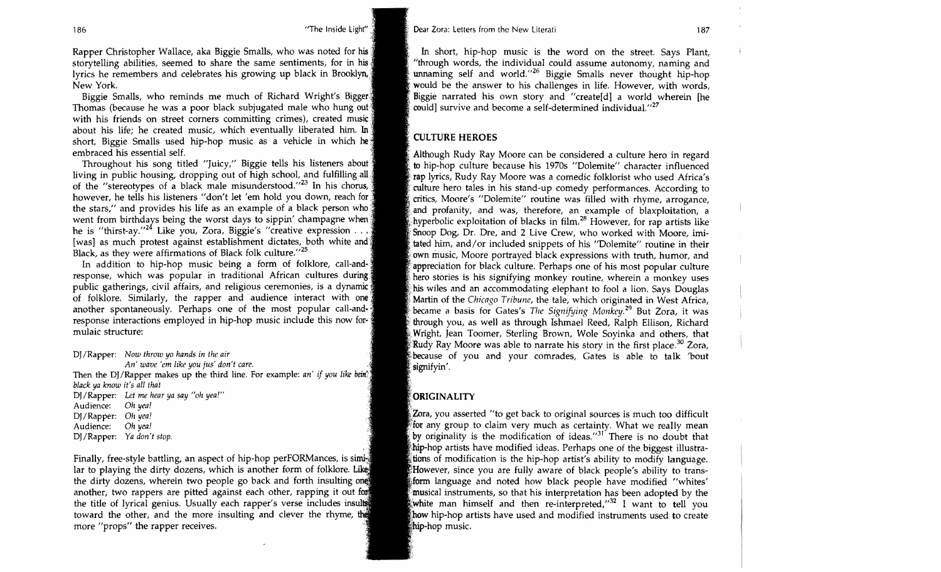#### 186 "The Inside light" 187 Dear Zora: Letters from the New Literati

Rapper Christopher Wallace, aka Biggie Smalls, who was noted for his storytelling abilities, seemed to share the same sentiments, for in his lyrics he remembers and celebrates his growing up black in Brooklyn, New York.

Biggie Smalls, who reminds me much of Richard Wright's Thomas (because he was a poor black subjugated male who hung with his friends on street corners committing crimes), created music about his life; he created music, which eventually liberated him. In short, Biggie Smalls used hip-hop music as a vehicle in which he embraced his essential self.

Throughout his song titled "Juicy," Biggie tells his listeners about living in public housing, dropping out of high school, and fulfilling all of the "stereotypes of a black male misunderstood."<sup>23</sup> In his chorus, however, he tells his listeners "don't let 'em hold you down, reach for the stars," and provides his life as an example of a black person who  $\frac{3}{4}$ went from birthdays being the worst days to sippin' champagne when he is "thirst-ay."<sup>24</sup> Like you, Zora, Biggie's "creative expression ... [was] as much protest against establishment dictates, both white and Black, as they were affirmations of Black folk culture."<sup>25</sup>

In addition to hip-hop music being a form of folklore, call-andresponse, which was popular in traditional African cultures public gatherings, civil affairs, and religious ceremonies, is a dynamic· of folklore. Similarly, the rapper and audience interact with one another spontaneously. Perhaps one of the most popular call-and· response interactions employed in hip-hop music include this now formulaic structure:

OJ/Rapper: *Now throw yo hands in the air* 

An' wave 'em like you jus' don't care. Then the OJ/Rapper makes up the third line. For example: *an'* if *you like black ya know it's all that*  DI/Rapper: Let me hear ya say "oh yea!" Audience: *Oh yea!*  OJ/Rapper: *Oh yea!* 

Audience: *Oh yea!*  OJ/Rapper: *Ya don't stop.* 

Finally, free-style battling, an aspect of hip-hop perFORMances, is similar to playing the dirty dozens, which is another form of folklore. Like the dirty dozens, wherein two people go back and forth insulting ones another, two rappers are pitted against each other, rapping it out for the title of lyrical genius. Usually each rapper's verse includes insults toward the other, and the more insulting and clever the rhyme, more "props" the rapper receives.

In short, hip-hop music is the word on the street. Says Plant, "through words, the individual could assume autonomy, naming and unnaming self and world.<sup>126</sup> Biggie Smalls never thought hip-hop would be the answer to his challenges in life. However, with words, Biggie narrated his own story and "create[d] a world wherein [he

could] survive and become a self-determined individual. $127$ 

#### **CULTURE HEROES**

Although Rudy Ray Moore can be considered a culture hero in regard to hip-hop culture because his 1970s "Dolemite" character influenced rap lyrics, Rudy Ray Moore was a comedic folklorist who used Africa's culture hero tales in his stand-up comedy performances. According to critics, Moore's "Dolemite" routine was filled with rhyme, arrogance, and profanity, and was, therefore, an example of blaxploitation, a hyperbolic exploitation of blacks in film.<sup>28</sup> However, for rap artists like Snoop Dog, Dr. Dre, and 2 Live Crew, who worked with Moore, imitated him, and/or included snippets of his *"Dolemite"* routine in their own music, Moore portrayed black expressions with truth, humor, and appreciation for black culture. Perhaps one of his most popular culture hero stories is his signifying monkey routine, wherein a monkey uses his wiles and an accommodating elephant to fool a lion. Says Douglas Martin of the *Chicago Tribune*, the tale, which originated in West Africa, became a basis for Gates's *The Signifying Monkcy.29* But Zora, it was through you, as well as through Ishmael Reed, Ralph Ellison, Richard Wright, Jean Toomer, Sterling Brown, Wole Soyinka and others, that Rudy Ray Moore was able to narrate his story in the first place.<sup>30</sup> Zora, because of you and your comrades, Gates is able to talk 'bout . signifyin'.

# ORIGINALITY

Zora, you asserted "to get back to original sources is much too difficult  $\epsilon$  for any group to claim very much as certainty. What we really mean by originality is the modification of ideas."<sup>31</sup> There is no doubt that hip-hop artists have modified ideas. Perhaps one of the biggest illustrations of modification is the hip-hop artist's ability to modify language. However, since you are fully aware of black people's ability to transform language and noted how black people have modified "whites" musical instruments, so that his interpretation has been adopted by the white man himself and then re-interpreted, $1/32$  I want to tell you how hip-hop artists have used and modified instruments used to create thip-hop music.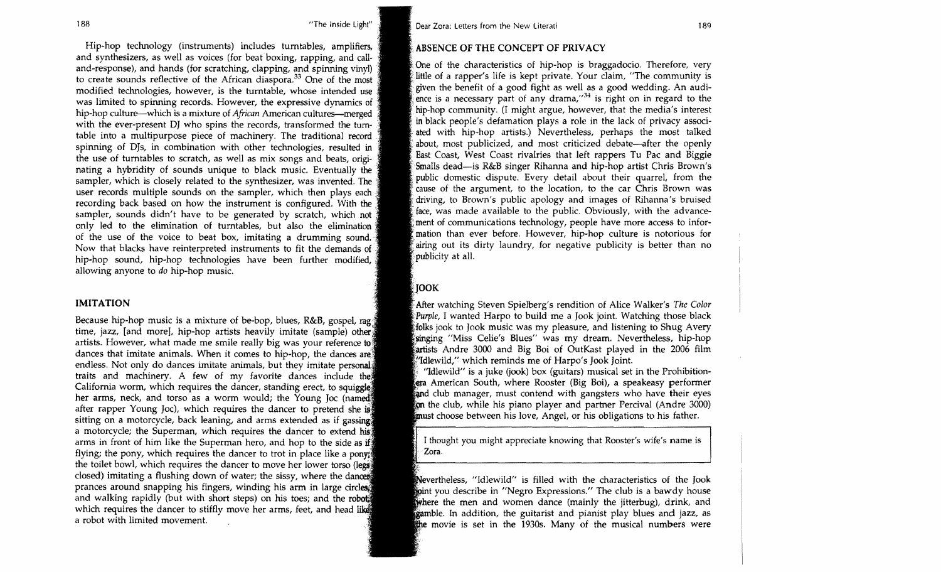Hip-hop technology (instruments) includes turntables, amplifiers, and synthesizers, as well as voices (for beat boxing, rapping, and calland-response), and hands (for scratching, clapping, and spinning vinyl) to create sounds reflective of the African diaspora.<sup>33</sup> One of the most modified technologies, however, is the turntable, whose intended use was limited to spinning records. However, the expressive dynamics of hip-hop culture-which is a mixture of *African* American cultures-merged with the ever-present DJ who spins the records, transformed the turntable into a multipurpose piece of machinery. The traditional record spinning of DJs, in combination with other technologies, resulted in the use of turntables to scratch, as well as mix songs and beats, originating a hybridity of sounds unique to black music. Eventually the sampler, which is closely related to the synthesizer, was invented. The user records multiple sounds on the sampler, which then plays each recording back based on how the instrument is configured. With the sampler, sounds didn't have to be generated by scratch, which not only led to the elimination of turntables, but also the elimination of the use of the voice to beat box, imitating a drumming sound. Now that blacks have reinterpreted instruments to fit the demands of hip-hop sound, hip-hop technologies have been further modified, allowing anyone to *do* hip-hop music.

#### **IMITATION**

Because hip-hop music is a mixture of be-bop, blues, R&B, gospel, time, jazz, [and more], hip-hop artists heavily imitate (sample) other $\frac{3}{4}$ artists. However, what made me smile really big was your reference to dances that imitate animals. When it comes to hip-hop, the dances are endless. Not only do dances imitate animals, but they imitate personal traits and machinery. A few of my favorite dances include California worm, which requires the dancer, standing erect, to squiggle her arms, neck, and torso as a worm would; the Young Joc (named after rapper Young Joc), which requires the dancer to pretend she is sitting on a motorcycle, back leaning, and arms extended as if gassing. a motorcycle; the Superman, which requires the dancer to extend his arms in front of him like the Superman hero, and hop to the side as if. flying; the pony, which requires the dancer to trot in place like a pony; the toilet bowl, which requires the dancer to move her lower torso (legs) closed) imitating a flushing down of water; the sissy, where the dancers prances around snapping his fingers, winding his arm in large and walking rapidly (but with short steps) on his toes; and the robots which requires the dancer to stiffly move her arms, feet, and head like a robot with limited movement.

#### 188  $\blacksquare$  The Inside Light"  $\frac{3}{2}$  Dear Zora; Letters from the New Literati  $\blacksquare$  189

#### ABSENCE OF **THE** CONCEPT OF PRIVACY

One of the characteristics of hip-hop is braggadocio. Therefore, very little of a rapper's life is kept private. Your claim, "The community is given the benefit of a good fight as well as a good wedding. An audience is a necessary part of any drama," $34$  is right on in regard to the hip-hop community. (I might argue, however, that the media's interest in black people's defamation plays a role in the lack of privacy assoeiated with hip-hop artists.) Nevertheless, perhaps the most talked about, most publicized, and most criticized debate—after the openly East Coast, West Coast rivalries that left rappers Tu Pac and Biggie Smalls dead-is R&B singer Rihanna and hip-hop artist Chris Brown's public domestic dispute. Every detail about their quarrel, from the cause of the argument, to the location, to the car Chris Brown was driving, to Brown's public apology and images of Rihanna's bruised face, was made available to the public. Obviously, with the advance ment of communications technology, people have more access to information than ever before. However, hip-hop culture is notorious for airing out its dirty laundry, for negative publicity is better than no publicity at all.

#### JOOK

After watching Steven Spielberg's rendition of Alice Walker's *The Color*  Purple, I wanted Harpo to build me a Jook joint. Watching those black folks jook to Jook music was my pleasure, and listening to Shug Avery "Miss Celie's Blues" was my dream. Nevertheless, hip-hop Andre 3000 and Big Boi of OutKast played in the 2006 film ," which reminds me of Harpo's Jook Joint.

"Idlewild" is a juke (jook) box (guitars) musical set in the Prohibition-American South, where Rooster (Big Boi), a speakeasy performer and club manager, must contend with gangsters who have their eyes the club, while his piano player and partner Percival (Andre 3000) must choose between his love, Angel, or his obligations to his father.

I thought you might appreciate knowing that Rooster's wife's name is Zora.

Nevertheless, "Idlewild" is filled with the characteristics of the Jook joint you describe in "Negro Expressions." The club is a bawdy house where the men and women dance (mainly the jitterbug), drink, and gamble. In addition, the guitarist and pianist play blues and jazz, as the movie is set in the 1930s. Many of the musical numbers were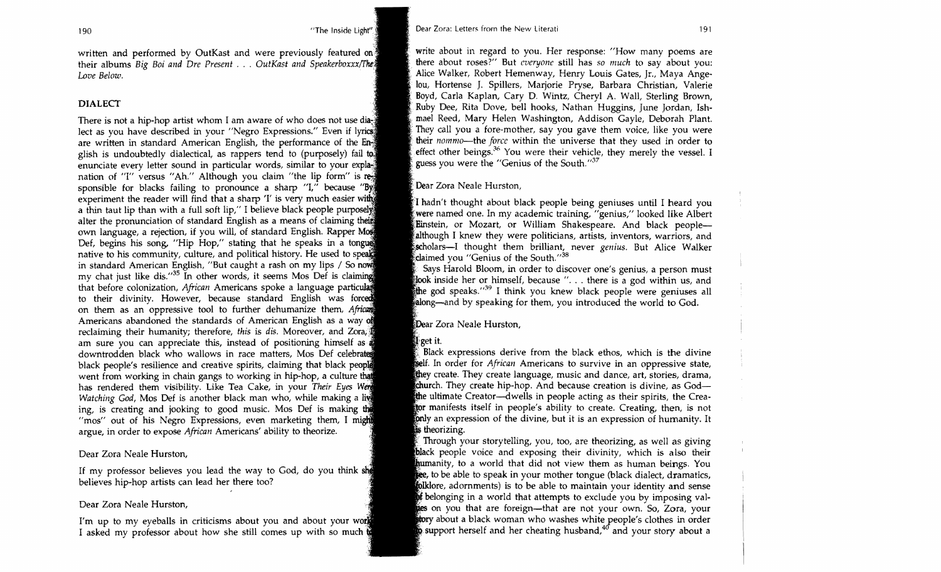written and performed by OutKast and were previously featured on their albums *Big Boi and Dre Present* ... *OutKast and Speakerboxxx/The Love Below.* 

#### DIALECT

There is not a hip-hop artist whom I am aware of who does not use dialect as you have described in your "Negro Expressions." Even if lyrics are written in standard American English, the performance of the English glish is undoubtedly dialectical, as rappers tend to (purposely) fail enunciate every letter sound in particular words, similar to your explanation of "I" versus "Ah." Although you claim "the lip form" is responsible for blacks failing to pronounce a sharp  $T$ ," because "By experiment the reader will find that a sharp  $T'$  is very much easier with a thin taut lip than with a full soft lip," I believe black people purposely alter the pronunciation of standard English as a means of claiming their own language, a rejection, if you will, of standard English. Rapper Def, begins his song, "Hip Hop," stating that he speaks in a tongues native to his community, culture, and political history. He used to speak in standard American English, "But caught a rash on my lips / So now my chat just like dis."<sup>35</sup> In other words, it seems Mos Def is claiming that before colonization, *African* Americans spoke a language to their divinity. However, because standard English was on them as an oppressive tool to further dehumanize them, African Americans abandoned the standards of American English as a way reclaiming their humanity; therefore, *this* is *dis.* Moreover, and Zora; am sure you can appreciate this, instead of positioning himself as downtrodden black who wallows in race matters, Mos Def celebrates black people's resilience and creative spirits, claiming that black people went from working in chain gangs to working in hip-hop, a culture that has rendered them visibility. Like Tea Cake, in your *Their Eyes Watching God,* Mos Def is another black man who, while making a ing, is creating and jooking to good music. Mos Def is making the "mos" out of his Negro Expressions, even marketing them, I might argue, in order to expose *African* Americans' ability to theorize.

#### Dear Zora Neale Hurston,

If my professor believes you lead the way to God, do you think she believes hip-hop artists can lead her there too?

# Dear Zora Neale Hurston,

I'm up to my eyeballs in criticisms about you and about your work I asked my professor about how she still comes up with so much

# 190 **190** 191 **191** 191 **191** 191 **191** 191 **191 191 Dear Zora: Letters from the New Literati**

write about in regard to you. Her response: "How many poems are there about roses?" But *everyone* still has *so much* to say about you: Alice Walker, Robert Hemenway, Henry Louis Gates, Jr., Maya Angelou, Hortense J. Spillers, Marjorie Pryse, Barbara Christian, Valerie Boyd, Carla Kaplan, Cary D. Wintz, Cheryl A. Wall, Sterling Brown, Ruby Dee, Rita Dove, bell hooks, Nathan Huggins, June Jordan, Ishmael Reed, Mary Helen Washington, Addison Gayle, Deborah Plant. They call you a fore-mother, say you gave them voice, like you were their *nommo--the force* within the universe that they used in order to effect other beings. $36$  You were their vehicle, they merely the vessel. I guess you were the "Genius of the South."<sup>37</sup>

# Dear Zora Neale Hurston,

hadn't thought about black people being geniuses until I heard you were named one. In my academic training, "genius," looked like Albert Einstein, or Mozart, or William Shakespeare. And black peoplealthough I knew they were politicians, artists, inventors, warriors, and scholars-I thought them brilliant, never *genius*. But Alice Walker claimed you "Genius of the South."38

Says Harold Bloom, in order to discover one's genius, a person must look inside her or himself, because "... there is a god within us, and  $\mathbb{R}$ he god speaks."<sup>39</sup> I think you knew black people were geniuses all along—and by speaking for them, you introduced the world to God.

# Dear Zora Neale Hurston,

# Lget it.

Black expressions derive from the black ethos, which is the divine **Realf.** In order for *African* Americans to survive in an oppressive state, they create. They create language, music and dance, art, stories, drama,  $\phi$  church. They create hip-hop. And because creation is divine, as  $\rm God$ the ultimate Creator-dwells in people acting as their spirits, the Creafor manifests itself in people's ability to create. Creating, then, is not only an expression of the divine, but it is an expression of humanity. It **is** theorizing.

Through your storytelling, you, too, are theorizing, as well as giving plack people voice and exposing their divinity, which is also their JUllldllity, to a world that did not view them as human beings. You see, to be able to speak in your mother tongue (black dialect, dramatics, folklore, adornments) is to be able to maintain your identity and sense **belonging in a world that attempts to exclude you by imposing val-Res** on you that are foreign—that are not your own. So, Zora, your atory about a black woman who washes white people's clothes in order **is** support herself and her cheating husband,  $40$  and your story about a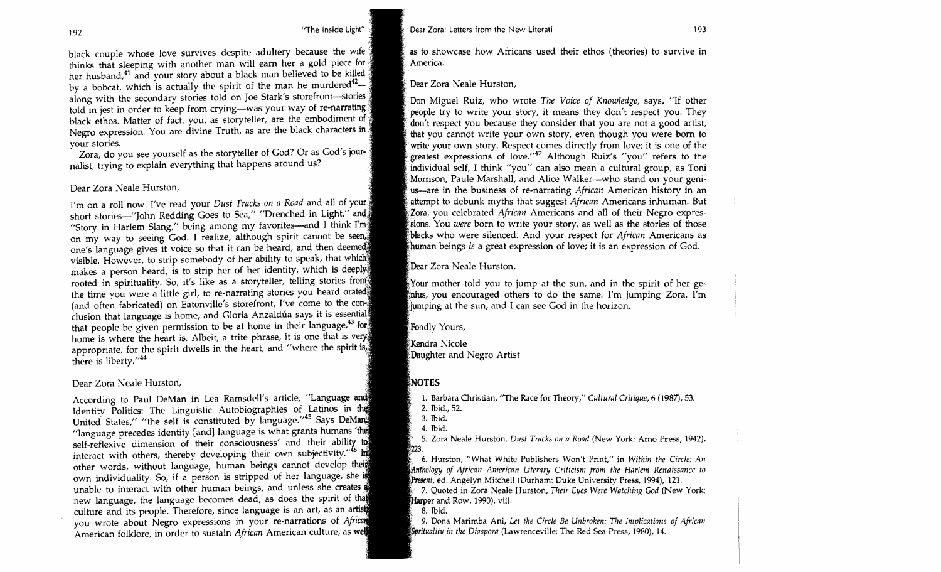black couple whose love survives despite adultery because the wife thinks that sleeping with another man will earn her a gold piece for her husband,<sup>41</sup> and your story about a black man believed to be killed  $\frac{4}{3}$ by a bobcat, which is actually the spirit of the man he murdered<sup>42</sup> along with the secondary stories told on Joe Stark's storefront-stories told in jest in order to keep from crying-was your way of re-narrating black ethos. Matter of fact, you, as storyteller, are the embodiment of Negro expression. You are divine Truth, as are the black characters in your stories.

Zora, do you see yourself as the storyteller of God? Or as God's journalist, trying to explain everything that happens around us?

#### Dear Zora Neale Hurston,

I'm on a roll now. I've read your *Dust Tracks on a Road* and all of your short stories-"John Redding Goes to Sea," "Drenched in Light," and "Story in Harlem Slang," being among my favorites-and I think I'm on my way to seeing God. I realize, although spirit cannot be seen, one's language gives it voice so that it can be heard, and then visible. However, to strip somebody of her ability to speak, that makes a person heard, is to strip her of her identity, which is rooted in spirituality. So, it's like as a storyteller, telling stories from the time you were a little girl, to re-narrating stories you heard orated. (and often fabricated) on Eatonville's storefront, I've come to the clusion that language is home, and Gloria Anzaldúa says it is essential that people be given permission to be at home in their language, $43$  for  $\frac{4}{3}$ home is where the heart is. Albeit, a trite phrase, it is one that is very appropriate, for the spirit dwells in the heart, and "where the spirit is, there is liberty."<sup>44</sup>

#### Dear Zora Neale Hurston,

According to Paul DeMan in Lea Ramsdell's article, "Language and Identity Politics: The Linguistic Autobiographies of Latinos in the United States," "the self is constituted by language."<sup>45</sup> Says DeMan, "language precedes identity [and] language is what grants humans 'the self-reflexive dimension of their consciousness' and their ability to interact with others, thereby developing their own subjectivity."  $46$   $\overrightarrow{100}$ other words, without language, human beings cannot develop own individuality. So, if a person is stripped of her language, she unable to interact with other human beings, and unless she creates a new language, the language becomes dead, as does the spirit of that culture and its people. Therefore, since language is an art, as an artist you wrote about Negro expressions in your re-narrations of African American folklore, in order to sustain *African* American culture, as

# 192 little inside Light"  $\frac{1}{3}$  Dear Zora: Letters from the New Literati 193 little inside Light"  $\frac{1}{3}$

as to showcase how Africans used their ethos (theories) to survive in America.

#### . Dear Zora Neale Hurston,

Don Miguel Ruiz, who wrote *The Voice of Knowledge,* says, "If other people try to write your story, it means they don't respect you. They don't respect you because they consider that you are not a good artist, that you cannot write your own story, even though you were born to write your own story. Respect comes directly from love; it is one of the greatest expressions of love."<sup>47</sup> Although Ruiz's "you" refers to the individual self, I think "you" can also mean a cultural group, as Toni Morrison, Paule Marshall, and Alice Walker-who stand on your genius-are in the business of re-narrating *African* American history in an attempt to debunk myths that suggest *African* Americans inhuman. But Zora, you celebrated *African* Americans and all of their Negro expressions. You *were* born to write your story, as well as the stories of those blacks who were silenced. And your respect for *African* Americans as beings *is* a great expression of love; it is an expression of God.

Dear Zora Neale Hurston,

Your mother told you to jump at the sun, and in the spirit of her geinius, you encouraged others to do the same. I'm jumping Zora. I'm jumping at the sun, and I can see God in the horizon.

Fondly Yours,

Kendra Nicole Daughter and Negro Artist

#### **NOTES**

- 1. Barbara Christian, "The Race for Theory," *Cultural Critique,* 6 (1987),53.
- 2. Ibid., 52.

4. Ibid.

5. Zora Neale Hurston, *Dust Tracks on a Road* (New York: Arno Press, 1942), :223

6. Hurston, "What White Publishers Won't Print," in *Within the Circle: An*  cl",/"gy *of African American Literary Criticism from the Harlem Renaissance to*  Present, ed. Angelyn Mitchell (Durham: Duke University Press, 1994), 121.

7. Quoted in Zora Neale Hurston, *Their Eyes Were Watching God* (New York: Harper and Row, 1990), viii.

8. Ibid.

9. Dona Marimba Ani, *Let the Circle Be Unbroken: The Implications of African*  **Sprituality in the Diaspora (Lawrenceville: The Red Sea Press, 1980), 14.** 

<sup>3.</sup> Ibid.